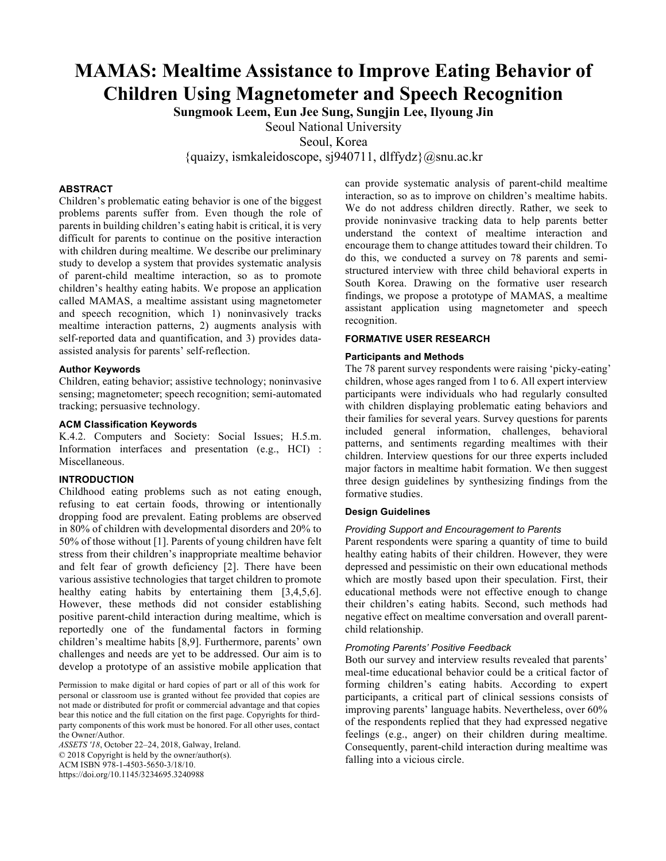# **MAMAS: Mealtime Assistance to Improve Eating Behavior of Children Using Magnetometer and Speech Recognition**

**Sungmook Leem, Eun Jee Sung, Sungjin Lee, Ilyoung Jin**

Seoul National University

Seoul, Korea

{quaizy, ismkaleidoscope, sj940711, dlffydz}@snu.ac.kr

# **ABSTRACT**

Children's problematic eating behavior is one of the biggest problems parents suffer from. Even though the role of parents in building children's eating habit is critical, it is very difficult for parents to continue on the positive interaction with children during mealtime. We describe our preliminary study to develop a system that provides systematic analysis of parent-child mealtime interaction, so as to promote children's healthy eating habits. We propose an application called MAMAS, a mealtime assistant using magnetometer and speech recognition, which 1) noninvasively tracks mealtime interaction patterns, 2) augments analysis with self-reported data and quantification, and 3) provides dataassisted analysis for parents' self-reflection.

## **Author Keywords**

Children, eating behavior; assistive technology; noninvasive sensing; magnetometer; speech recognition; semi-automated tracking; persuasive technology.

## **ACM Classification Keywords**

K.4.2. Computers and Society: Social Issues; H.5.m. Information interfaces and presentation (e.g., HCI) : Miscellaneous.

# **INTRODUCTION**

Childhood eating problems such as not eating enough, refusing to eat certain foods, throwing or intentionally dropping food are prevalent. Eating problems are observed in 80% of children with developmental disorders and 20% to 50% of those without [1]. Parents of young children have felt stress from their children's inappropriate mealtime behavior and felt fear of growth deficiency [2]. There have been various assistive technologies that target children to promote healthy eating habits by entertaining them [3,4,5,6]. However, these methods did not consider establishing positive parent-child interaction during mealtime, which is reportedly one of the fundamental factors in forming children's mealtime habits [8,9]. Furthermore, parents' own challenges and needs are yet to be addressed. Our aim is to develop a prototype of an assistive mobile application that

Permission to make digital or hard copies of part or all of this work for personal or classroom use is granted without fee provided that copies are not made or distributed for profit or commercial advantage and that copies bear this notice and the full citation on the first page. Copyrights for thirdparty components of this work must be honored. For all other uses, contact the Owner/Author.

*ASSETS '18*, October 22–24, 2018, Galway, Ireland. © 2018 Copyright is held by the owner/author(s). ACM ISBN 978-1-4503-5650-3/18/10. https://doi.org/10.1145/3234695.3240988

can provide systematic analysis of parent-child mealtime interaction, so as to improve on children's mealtime habits. We do not address children directly. Rather, we seek to provide noninvasive tracking data to help parents better understand the context of mealtime interaction and encourage them to change attitudes toward their children. To do this, we conducted a survey on 78 parents and semistructured interview with three child behavioral experts in South Korea. Drawing on the formative user research findings, we propose a prototype of MAMAS, a mealtime assistant application using magnetometer and speech recognition.

#### **FORMATIVE USER RESEARCH**

## **Participants and Methods**

The 78 parent survey respondents were raising 'picky-eating' children, whose ages ranged from 1 to 6. All expert interview participants were individuals who had regularly consulted with children displaying problematic eating behaviors and their families for several years. Survey questions for parents included general information, challenges, behavioral patterns, and sentiments regarding mealtimes with their children. Interview questions for our three experts included major factors in mealtime habit formation. We then suggest three design guidelines by synthesizing findings from the formative studies.

#### **Design Guidelines**

#### *Providing Support and Encouragement to Parents*

Parent respondents were sparing a quantity of time to build healthy eating habits of their children. However, they were depressed and pessimistic on their own educational methods which are mostly based upon their speculation. First, their educational methods were not effective enough to change their children's eating habits. Second, such methods had negative effect on mealtime conversation and overall parentchild relationship.

## *Promoting Parents' Positive Feedback*

Both our survey and interview results revealed that parents' meal-time educational behavior could be a critical factor of forming children's eating habits. According to expert participants, a critical part of clinical sessions consists of improving parents' language habits. Nevertheless, over 60% of the respondents replied that they had expressed negative feelings (e.g., anger) on their children during mealtime. Consequently, parent-child interaction during mealtime was falling into a vicious circle.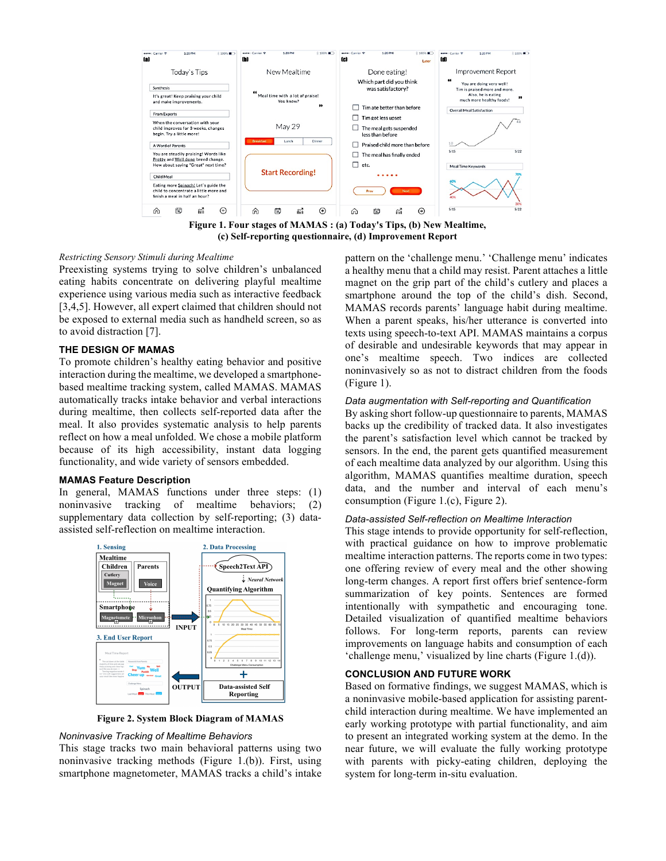

**Figure 1. Four stages of MAMAS : (a) Today's Tips, (b) New Mealtime, (c) Self-reporting questionnaire, (d) Improvement Report**

#### *Restricting Sensory Stimuli during Mealtime*

Preexisting systems trying to solve children's unbalanced eating habits concentrate on delivering playful mealtime experience using various media such as interactive feedback [3,4,5]. However, all expert claimed that children should not be exposed to external media such as handheld screen, so as to avoid distraction [7].

## **THE DESIGN OF MAMAS**

To promote children's healthy eating behavior and positive interaction during the mealtime, we developed a smartphonebased mealtime tracking system, called MAMAS. MAMAS automatically tracks intake behavior and verbal interactions during mealtime, then collects self-reported data after the meal. It also provides systematic analysis to help parents reflect on how a meal unfolded. We chose a mobile platform because of its high accessibility, instant data logging functionality, and wide variety of sensors embedded.

#### **MAMAS Feature Description**

In general, MAMAS functions under three steps: (1) noninvasive tracking of mealtime behaviors; (2) supplementary data collection by self-reporting; (3) dataassisted self-reflection on mealtime interaction.



**Figure 2. System Block Diagram of MAMAS**

#### *Noninvasive Tracking of Mealtime Behaviors*

This stage tracks two main behavioral patterns using two noninvasive tracking methods (Figure 1.(b)). First, using smartphone magnetometer, MAMAS tracks a child's intake pattern on the 'challenge menu.' 'Challenge menu' indicates a healthy menu that a child may resist. Parent attaches a little magnet on the grip part of the child's cutlery and places a smartphone around the top of the child's dish. Second, MAMAS records parents' language habit during mealtime. When a parent speaks, his/her utterance is converted into texts using speech-to-text API. MAMAS maintains a corpus of desirable and undesirable keywords that may appear in one's mealtime speech. Two indices are collected noninvasively so as not to distract children from the foods (Figure 1).

#### *Data augmentation with Self-reporting and Quantification*

By asking short follow-up questionnaire to parents, MAMAS backs up the credibility of tracked data. It also investigates the parent's satisfaction level which cannot be tracked by sensors. In the end, the parent gets quantified measurement of each mealtime data analyzed by our algorithm. Using this algorithm, MAMAS quantifies mealtime duration, speech data, and the number and interval of each menu's consumption (Figure 1.(c), Figure 2).

# *Data-assisted Self-reflection on Mealtime Interaction*

This stage intends to provide opportunity for self-reflection, with practical guidance on how to improve problematic mealtime interaction patterns. The reports come in two types: one offering review of every meal and the other showing long-term changes. A report first offers brief sentence-form summarization of key points. Sentences are formed intentionally with sympathetic and encouraging tone. Detailed visualization of quantified mealtime behaviors follows. For long-term reports, parents can review improvements on language habits and consumption of each 'challenge menu,' visualized by line charts (Figure 1.(d)).

## **CONCLUSION AND FUTURE WORK**

Based on formative findings, we suggest MAMAS, which is a noninvasive mobile-based application for assisting parentchild interaction during mealtime. We have implemented an early working prototype with partial functionality, and aim to present an integrated working system at the demo. In the near future, we will evaluate the fully working prototype with parents with picky-eating children, deploying the system for long-term in-situ evaluation.